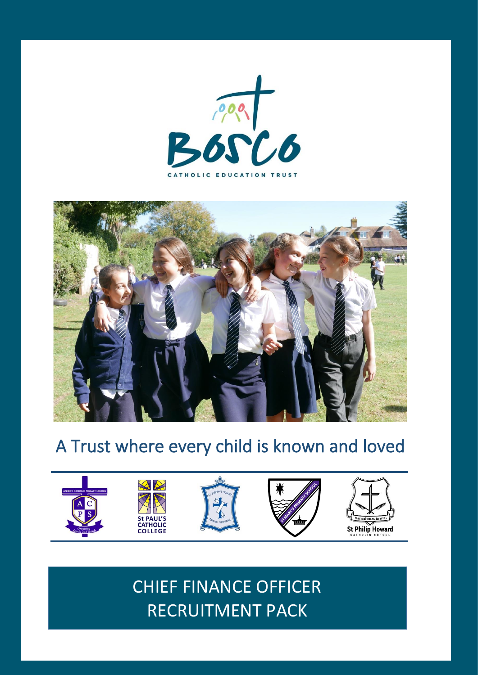



# A Trust where every child is known and loved



CHIEF FINANCE OFFICER RECRUITMENT PACK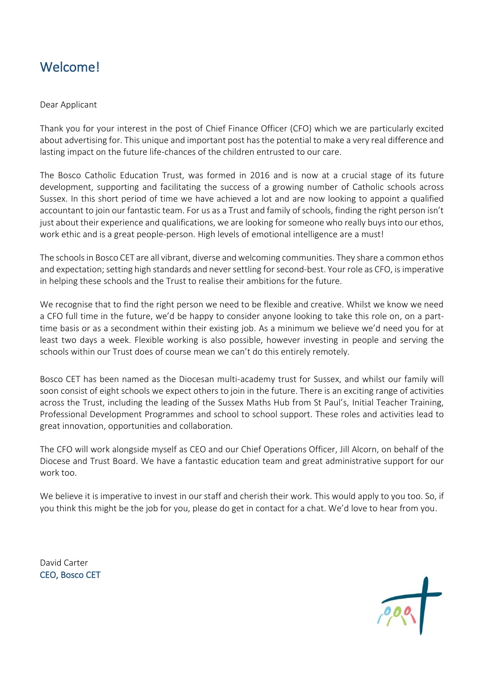# Welcome!

#### Dear Applicant

Thank you for your interest in the post of Chief Finance Officer (CFO) which we are particularly excited about advertising for. This unique and important post has the potential to make a very real difference and lasting impact on the future life-chances of the children entrusted to our care.

The Bosco Catholic Education Trust, was formed in 2016 and is now at a crucial stage of its future development, supporting and facilitating the success of a growing number of Catholic schools across Sussex. In this short period of time we have achieved a lot and are now looking to appoint a qualified accountant to join our fantastic team. For us as a Trust and family of schools, finding the right person isn't just about their experience and qualifications, we are looking for someone who really buys into our ethos, work ethic and is a great people-person. High levels of emotional intelligence are a must!

The schools in Bosco CET are all vibrant, diverse and welcoming communities. They share a common ethos and expectation; setting high standards and never settling for second-best. Your role as CFO, is imperative in helping these schools and the Trust to realise their ambitions for the future.

We recognise that to find the right person we need to be flexible and creative. Whilst we know we need a CFO full time in the future, we'd be happy to consider anyone looking to take this role on, on a parttime basis or as a secondment within their existing job. As a minimum we believe we'd need you for at least two days a week. Flexible working is also possible, however investing in people and serving the schools within our Trust does of course mean we can't do this entirely remotely.

Bosco CET has been named as the Diocesan multi-academy trust for Sussex, and whilst our family will soon consist of eight schools we expect others to join in the future. There is an exciting range of activities across the Trust, including the leading of the Sussex Maths Hub from St Paul's, Initial Teacher Training, Professional Development Programmes and school to school support. These roles and activities lead to great innovation, opportunities and collaboration.

The CFO will work alongside myself as CEO and our Chief Operations Officer, Jill Alcorn, on behalf of the Diocese and Trust Board. We have a fantastic education team and great administrative support for our work too.

We believe it is imperative to invest in our staff and cherish their work. This would apply to you too. So, if you think this might be the job for you, please do get in contact for a chat. We'd love to hear from you.

David Carter CEO, Bosco CET

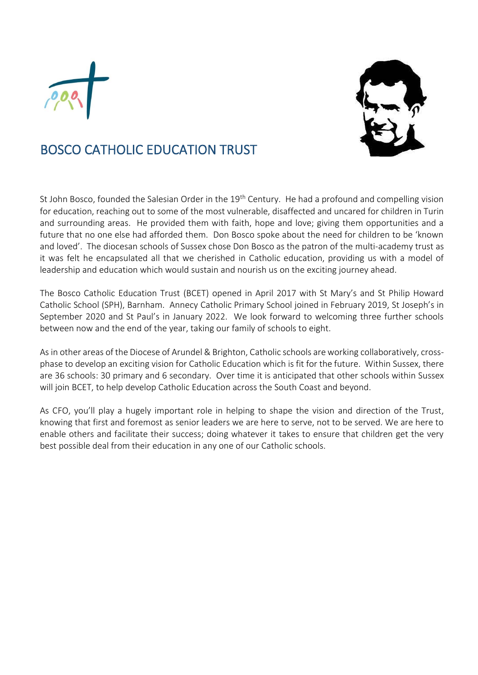



# BOSCO CATHOLIC EDUCATION TRUST

St John Bosco, founded the Salesian Order in the 19<sup>th</sup> Century. He had a profound and compelling vision for education, reaching out to some of the most vulnerable, disaffected and uncared for children in Turin and surrounding areas. He provided them with faith, hope and love; giving them opportunities and a future that no one else had afforded them. Don Bosco spoke about the need for children to be 'known and loved'. The diocesan schools of Sussex chose Don Bosco as the patron of the multi-academy trust as it was felt he encapsulated all that we cherished in Catholic education, providing us with a model of leadership and education which would sustain and nourish us on the exciting journey ahead.

The Bosco Catholic Education Trust (BCET) opened in April 2017 with St Mary's and St Philip Howard Catholic School (SPH), Barnham. Annecy Catholic Primary School joined in February 2019, St Joseph's in September 2020 and St Paul's in January 2022. We look forward to welcoming three further schools between now and the end of the year, taking our family of schools to eight.

As in other areas of the Diocese of Arundel & Brighton, Catholic schools are working collaboratively, crossphase to develop an exciting vision for Catholic Education which is fit for the future. Within Sussex, there are 36 schools: 30 primary and 6 secondary. Over time it is anticipated that other schools within Sussex will join BCET, to help develop Catholic Education across the South Coast and beyond.

As CFO, you'll play a hugely important role in helping to shape the vision and direction of the Trust, knowing that first and foremost as senior leaders we are here to serve, not to be served. We are here to enable others and facilitate their success; doing whatever it takes to ensure that children get the very best possible deal from their education in any one of our Catholic schools.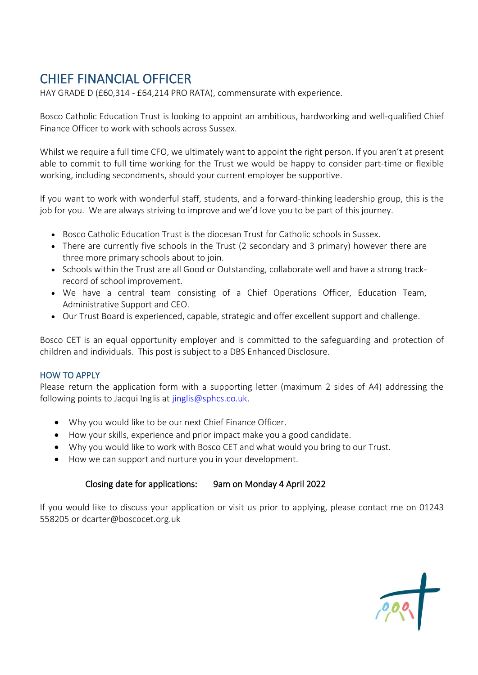# CHIEF FINANCIAL OFFICER

HAY GRADE D (£60,314 - £64,214 PRO RATA), commensurate with experience.

Bosco Catholic Education Trust is looking to appoint an ambitious, hardworking and well-qualified Chief Finance Officer to work with schools across Sussex.

Whilst we require a full time CFO, we ultimately want to appoint the right person. If you aren't at present able to commit to full time working for the Trust we would be happy to consider part-time or flexible working, including secondments, should your current employer be supportive.

If you want to work with wonderful staff, students, and a forward-thinking leadership group, this is the job for you. We are always striving to improve and we'd love you to be part of this journey.

- Bosco Catholic Education Trust is the diocesan Trust for Catholic schools in Sussex.
- There are currently five schools in the Trust (2 secondary and 3 primary) however there are three more primary schools about to join.
- Schools within the Trust are all Good or Outstanding, collaborate well and have a strong trackrecord of school improvement.
- We have a central team consisting of a Chief Operations Officer, Education Team, Administrative Support and CEO.
- Our Trust Board is experienced, capable, strategic and offer excellent support and challenge.

Bosco CET is an equal opportunity employer and is committed to the safeguarding and protection of children and individuals. This post is subject to a DBS Enhanced Disclosure.

#### HOW TO APPLY

Please return the application form with a supporting letter (maximum 2 sides of A4) addressing the following points to Jacqui Inglis at [jinglis@sphcs.co.uk.](mailto:jinglis@sphcs.co.uk)

- Why you would like to be our next Chief Finance Officer.
- How your skills, experience and prior impact make you a good candidate.
- Why you would like to work with Bosco CET and what would you bring to our Trust.
- How we can support and nurture you in your development.

### Closing date for applications: 9am on Monday 4 April 2022

If you would like to discuss your application or visit us prior to applying, please contact me on 01243 558205 or [dcarter@boscocet.org.uk](mailto:dcarter@boscocet.org.uk)

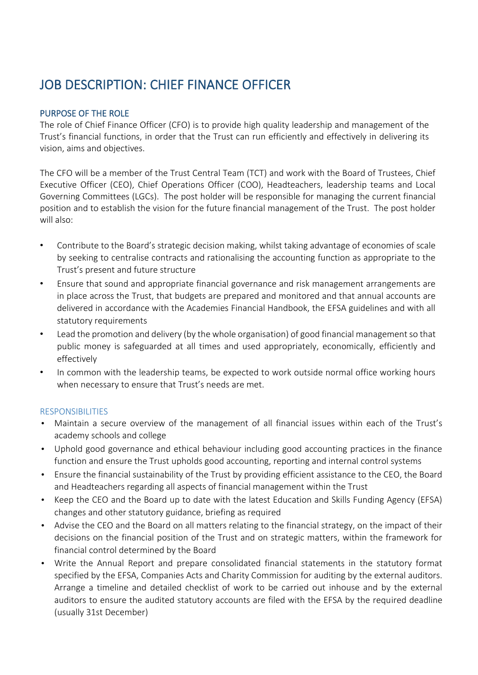# JOB DESCRIPTION: CHIEF FINANCE OFFICER

### PURPOSE OF THE ROLE

The role of Chief Finance Officer (CFO) is to provide high quality leadership and management of the Trust's financial functions, in order that the Trust can run efficiently and effectively in delivering its vision, aims and objectives.

The CFO will be a member of the Trust Central Team (TCT) and work with the Board of Trustees, Chief Executive Officer (CEO), Chief Operations Officer (COO), Headteachers, leadership teams and Local Governing Committees (LGCs). The post holder will be responsible for managing the current financial position and to establish the vision for the future financial management of the Trust. The post holder will also:

- Contribute to the Board's strategic decision making, whilst taking advantage of economies of scale by seeking to centralise contracts and rationalising the accounting function as appropriate to the Trust's present and future structure
- Ensure that sound and appropriate financial governance and risk management arrangements are in place across the Trust, that budgets are prepared and monitored and that annual accounts are delivered in accordance with the Academies Financial Handbook, the EFSA guidelines and with all statutory requirements
- Lead the promotion and delivery (by the whole organisation) of good financial management so that public money is safeguarded at all times and used appropriately, economically, efficiently and effectively
- In common with the leadership teams, be expected to work outside normal office working hours when necessary to ensure that Trust's needs are met.

#### RESPONSIBILITIES

- Maintain a secure overview of the management of all financial issues within each of the Trust's academy schools and college
- Uphold good governance and ethical behaviour including good accounting practices in the finance function and ensure the Trust upholds good accounting, reporting and internal control systems
- Ensure the financial sustainability of the Trust by providing efficient assistance to the CEO, the Board and Headteachers regarding all aspects of financial management within the Trust
- Keep the CEO and the Board up to date with the latest Education and Skills Funding Agency (EFSA) changes and other statutory guidance, briefing as required
- Advise the CEO and the Board on all matters relating to the financial strategy, on the impact of their decisions on the financial position of the Trust and on strategic matters, within the framework for financial control determined by the Board
- Write the Annual Report and prepare consolidated financial statements in the statutory format specified by the EFSA, Companies Acts and Charity Commission for auditing by the external auditors. Arrange a timeline and detailed checklist of work to be carried out inhouse and by the external auditors to ensure the audited statutory accounts are filed with the EFSA by the required deadline (usually 31st December)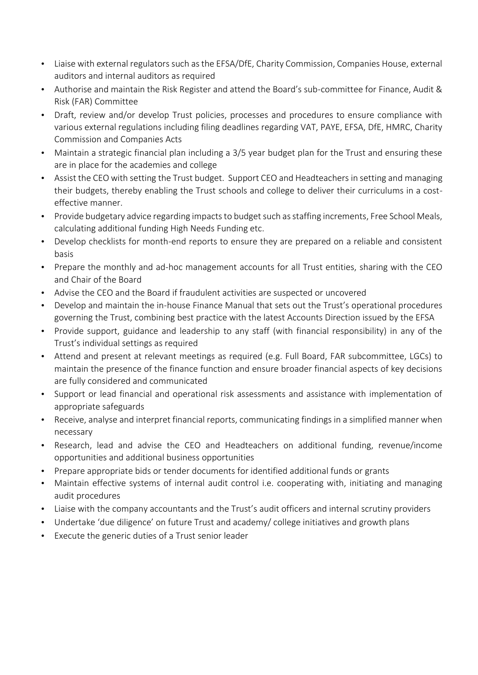- Liaise with external regulators such as the EFSA/DfE, Charity Commission, Companies House, external auditors and internal auditors as required
- Authorise and maintain the Risk Register and attend the Board's sub-committee for Finance, Audit & Risk (FAR) Committee
- Draft, review and/or develop Trust policies, processes and procedures to ensure compliance with various external regulations including filing deadlines regarding VAT, PAYE, EFSA, DfE, HMRC, Charity Commission and Companies Acts
- Maintain a strategic financial plan including a 3/5 year budget plan for the Trust and ensuring these are in place for the academies and college
- Assist the CEO with setting the Trust budget. Support CEO and Headteachers in setting and managing their budgets, thereby enabling the Trust schools and college to deliver their curriculums in a costeffective manner.
- Provide budgetary advice regarding impacts to budget such as staffing increments, Free School Meals, calculating additional funding High Needs Funding etc.
- Develop checklists for month-end reports to ensure they are prepared on a reliable and consistent basis
- Prepare the monthly and ad-hoc management accounts for all Trust entities, sharing with the CEO and Chair of the Board
- Advise the CEO and the Board if fraudulent activities are suspected or uncovered
- Develop and maintain the in-house Finance Manual that sets out the Trust's operational procedures governing the Trust, combining best practice with the latest Accounts Direction issued by the EFSA
- Provide support, guidance and leadership to any staff (with financial responsibility) in any of the Trust's individual settings as required
- Attend and present at relevant meetings as required (e.g. Full Board, FAR subcommittee, LGCs) to maintain the presence of the finance function and ensure broader financial aspects of key decisions are fully considered and communicated
- Support or lead financial and operational risk assessments and assistance with implementation of appropriate safeguards
- Receive, analyse and interpret financial reports, communicating findings in a simplified manner when necessary
- Research, lead and advise the CEO and Headteachers on additional funding, revenue/income opportunities and additional business opportunities
- Prepare appropriate bids or tender documents for identified additional funds or grants
- Maintain effective systems of internal audit control i.e. cooperating with, initiating and managing audit procedures
- Liaise with the company accountants and the Trust's audit officers and internal scrutiny providers
- Undertake 'due diligence' on future Trust and academy/ college initiatives and growth plans
- Execute the generic duties of a Trust senior leader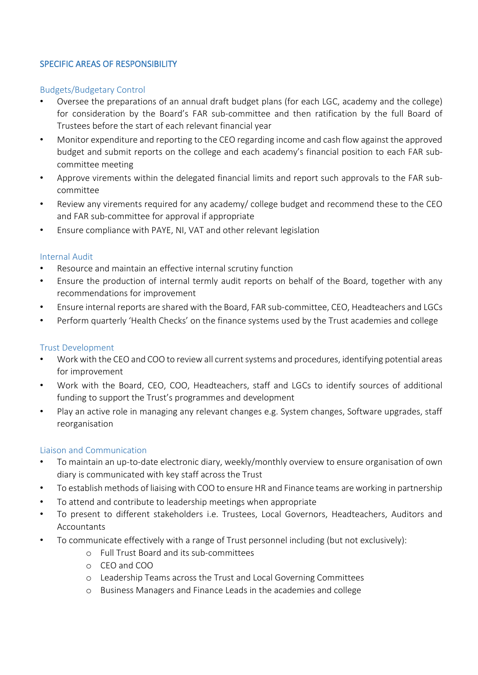### SPECIFIC AREAS OF RESPONSIBILITY

#### Budgets/Budgetary Control

- Oversee the preparations of an annual draft budget plans (for each LGC, academy and the college) for consideration by the Board's FAR sub-committee and then ratification by the full Board of Trustees before the start of each relevant financial year
- Monitor expenditure and reporting to the CEO regarding income and cash flow against the approved budget and submit reports on the college and each academy's financial position to each FAR subcommittee meeting
- Approve virements within the delegated financial limits and report such approvals to the FAR subcommittee
- Review any virements required for any academy/ college budget and recommend these to the CEO and FAR sub-committee for approval if appropriate
- Ensure compliance with PAYE, NI, VAT and other relevant legislation

#### Internal Audit

- Resource and maintain an effective internal scrutiny function
- Ensure the production of internal termly audit reports on behalf of the Board, together with any recommendations for improvement
- Ensure internal reports are shared with the Board, FAR sub-committee, CEO, Headteachers and LGCs
- Perform quarterly 'Health Checks' on the finance systems used by the Trust academies and college

#### Trust Development

- Work with the CEO and COO to review all current systems and procedures, identifying potential areas for improvement
- Work with the Board, CEO, COO, Headteachers, staff and LGCs to identify sources of additional funding to support the Trust's programmes and development
- Play an active role in managing any relevant changes e.g. System changes, Software upgrades, staff reorganisation

#### Liaison and Communication

- To maintain an up-to-date electronic diary, weekly/monthly overview to ensure organisation of own diary is communicated with key staff across the Trust
- To establish methods of liaising with COO to ensure HR and Finance teams are working in partnership
- To attend and contribute to leadership meetings when appropriate
- To present to different stakeholders i.e. Trustees, Local Governors, Headteachers, Auditors and Accountants
- To communicate effectively with a range of Trust personnel including (but not exclusively):
	- o Full Trust Board and its sub-committees
	- o CEO and COO
	- o Leadership Teams across the Trust and Local Governing Committees
	- o Business Managers and Finance Leads in the academies and college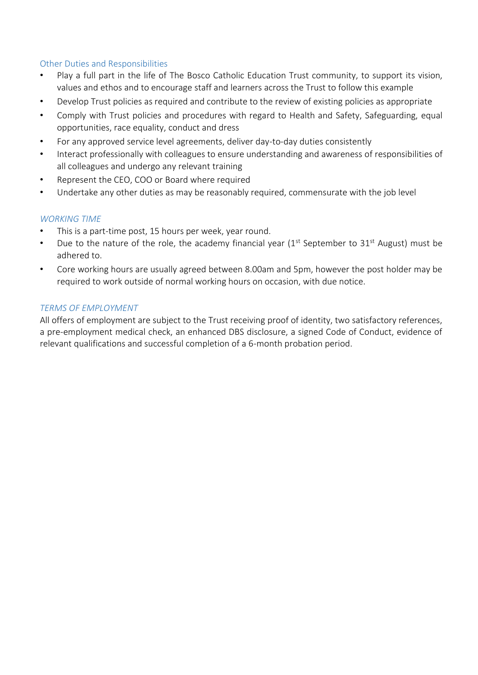### Other Duties and Responsibilities

- Play a full part in the life of The Bosco Catholic Education Trust community, to support its vision, values and ethos and to encourage staff and learners across the Trust to follow this example
- Develop Trust policies as required and contribute to the review of existing policies as appropriate
- Comply with Trust policies and procedures with regard to Health and Safety, Safeguarding, equal opportunities, race equality, conduct and dress
- For any approved service level agreements, deliver day-to-day duties consistently
- Interact professionally with colleagues to ensure understanding and awareness of responsibilities of all colleagues and undergo any relevant training
- Represent the CEO, COO or Board where required
- Undertake any other duties as may be reasonably required, commensurate with the job level

### *WORKING TIME*

- This is a part-time post, 15 hours per week, year round.
- Due to the nature of the role, the academy financial year  $(1<sup>st</sup>$  September to 31<sup>st</sup> August) must be adhered to.
- Core working hours are usually agreed between 8.00am and 5pm, however the post holder may be required to work outside of normal working hours on occasion, with due notice.

#### *TERMS OF EMPLOYMENT*

All offers of employment are subject to the Trust receiving proof of identity, two satisfactory references, a pre-employment medical check, an enhanced DBS disclosure, a signed Code of Conduct, evidence of relevant qualifications and successful completion of a 6-month probation period.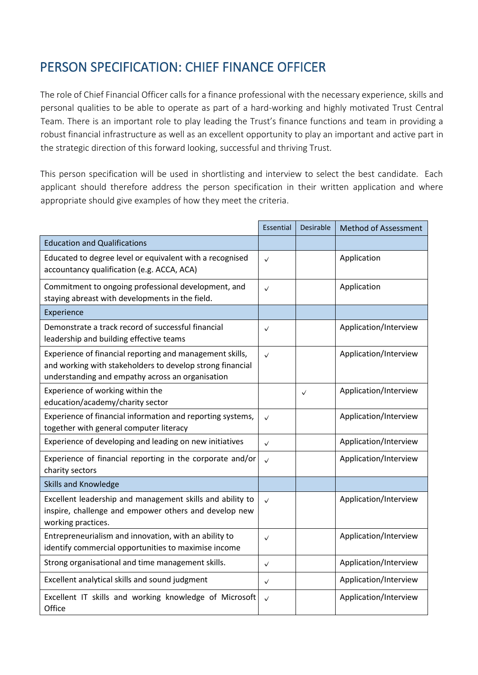# PERSON SPECIFICATION: CHIEF FINANCE OFFICER

The role of Chief Financial Officer calls for a finance professional with the necessary experience, skills and personal qualities to be able to operate as part of a hard-working and highly motivated Trust Central Team. There is an important role to play leading the Trust's finance functions and team in providing a robust financial infrastructure as well as an excellent opportunity to play an important and active part in the strategic direction of this forward looking, successful and thriving Trust.

This person specification will be used in shortlisting and interview to select the best candidate. Each applicant should therefore address the person specification in their written application and where appropriate should give examples of how they meet the criteria.

|                                                                                                                                                                           | Essential    | <b>Desirable</b> | <b>Method of Assessment</b> |
|---------------------------------------------------------------------------------------------------------------------------------------------------------------------------|--------------|------------------|-----------------------------|
| <b>Education and Qualifications</b>                                                                                                                                       |              |                  |                             |
| Educated to degree level or equivalent with a recognised<br>accountancy qualification (e.g. ACCA, ACA)                                                                    | $\checkmark$ |                  | Application                 |
| Commitment to ongoing professional development, and<br>staying abreast with developments in the field.                                                                    | $\checkmark$ |                  | Application                 |
| Experience                                                                                                                                                                |              |                  |                             |
| Demonstrate a track record of successful financial<br>leadership and building effective teams                                                                             | $\checkmark$ |                  | Application/Interview       |
| Experience of financial reporting and management skills,<br>and working with stakeholders to develop strong financial<br>understanding and empathy across an organisation | $\checkmark$ |                  | Application/Interview       |
| Experience of working within the<br>education/academy/charity sector                                                                                                      |              | $\checkmark$     | Application/Interview       |
| Experience of financial information and reporting systems,<br>together with general computer literacy                                                                     | $\checkmark$ |                  | Application/Interview       |
| Experience of developing and leading on new initiatives                                                                                                                   | $\checkmark$ |                  | Application/Interview       |
| Experience of financial reporting in the corporate and/or<br>charity sectors                                                                                              | $\checkmark$ |                  | Application/Interview       |
| <b>Skills and Knowledge</b>                                                                                                                                               |              |                  |                             |
| Excellent leadership and management skills and ability to<br>inspire, challenge and empower others and develop new<br>working practices.                                  | $\checkmark$ |                  | Application/Interview       |
| Entrepreneurialism and innovation, with an ability to<br>identify commercial opportunities to maximise income                                                             | $\checkmark$ |                  | Application/Interview       |
| Strong organisational and time management skills.                                                                                                                         | $\checkmark$ |                  | Application/Interview       |
| Excellent analytical skills and sound judgment                                                                                                                            | $\checkmark$ |                  | Application/Interview       |
| Excellent IT skills and working knowledge of Microsoft<br>Office                                                                                                          | $\checkmark$ |                  | Application/Interview       |